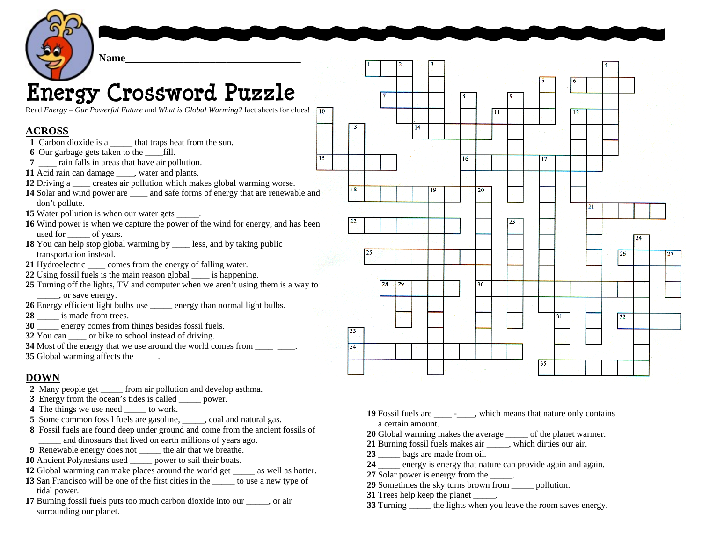

## **Energy Crossword Puzzle**

Read *Energy – Our Powerful Future* and *What is Global Warming?* fact sheets for clues!

## **ACROSS**

- Carbon dioxide is a \_\_\_\_\_ that traps heat from the sun.
- Our garbage gets taken to the \_\_\_\_fill.
- \_\_\_\_ rain falls in areas that have air pollution.
- Acid rain can damage water and plants.
- Driving a \_\_\_\_ creates air pollution which makes global warming worse.
- Solar and wind power are \_\_\_\_\_ and safe forms of energy that are renewable and don't pollute.
- Water pollution is when our water gets \_\_\_\_\_.
- Wind power is when we capture the power of the wind for energy, and has been used for  $\qquad$  of years.
- You can help stop global warming by \_\_\_\_ less, and by taking public transportation instead.
- 21 Hydroelectric comes from the energy of falling water.
- Using fossil fuels is the main reason global \_\_\_\_ is happening.
- Turning off the lights, TV and computer when we aren't using them is a way to \_\_\_\_\_, or save energy.
- Energy efficient light bulbs use \_\_\_\_\_ energy than normal light bulbs.
- \_\_\_\_\_ is made from trees.
- \_\_\_\_\_ energy comes from things besides fossil fuels.
- You can \_\_\_\_ or bike to school instead of driving.
- Most of the energy that we use around the world comes from \_\_\_\_ \_\_\_\_.
- **35** Global warming affects the  $\qquad$ .

## **DOWN**

- Many people get from air pollution and develop asthma.
- Energy from the ocean's tides is called \_\_\_\_\_ power.
- The things we use need to work.
- Some common fossil fuels are gasoline, coal and natural gas.
- Fossil fuels are found deep under ground and come from the ancient fossils of and dinosaurs that lived on earth millions of years ago.
- Renewable energy does not \_\_\_\_\_ the air that we breathe.
- Ancient Polynesians used \_\_\_\_\_ power to sail their boats.
- Global warming can make places around the world get as well as hotter.
- San Francisco will be one of the first cities in the \_\_\_\_\_ to use a new type of tidal power.
- Burning fossil fuels puts too much carbon dioxide into our \_\_\_\_\_, or air surrounding our planet.

 Fossil fuels are \_\_\_\_\_\_\_\_, which means that nature only contains a certain amount.

 $\overline{11}$ 

 $\overline{23}$ 

 $\overline{12}$ 

 $\overline{24}$ 

- Global warming makes the average of the planet warmer.
- Burning fossil fuels makes air \_\_\_\_\_, which dirties our air.
- \_\_\_\_\_ bags are made from oil.

 $\sqrt{13}$ 

- energy is energy that nature can provide again and again.
- 27 Solar power is energy from the \_\_\_\_\_.
- Sometimes the sky turns brown from \_\_\_\_\_ pollution.
- **31** Trees help keep the planet  $\qquad$ .
- Turning the lights when you leave the room saves energy.